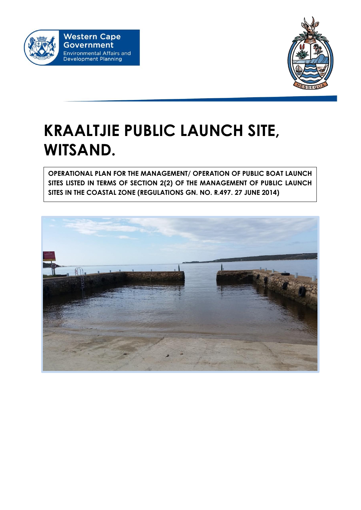



# **KRAALTJIE PUBLIC LAUNCH SITE, WITSAND.**

**OPERATIONAL PLAN FOR THE MANAGEMENT/ OPERATION OF PUBLIC BOAT LAUNCH SITES LISTED IN TERMS OF SECTION 2(2) OF THE MANAGEMENT OF PUBLIC LAUNCH SITES IN THE COASTAL ZONE (REGULATIONS GN. NO. R.497. 27 JUNE 2014)**

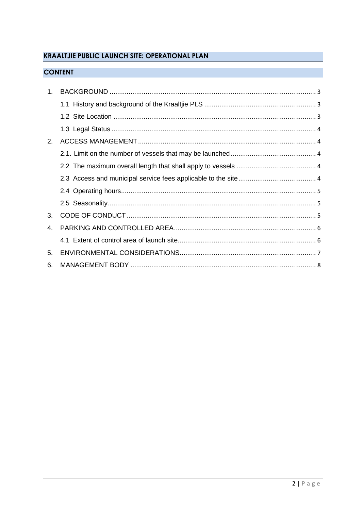# **KRAALTJIE PUBLIC LAUNCH SITE: OPERATIONAL PLAN**

## **CONTENT**

| 1. |  |
|----|--|
|    |  |
|    |  |
|    |  |
| 2. |  |
|    |  |
|    |  |
|    |  |
|    |  |
|    |  |
| 3. |  |
| 4  |  |
|    |  |
| 5. |  |
| 6. |  |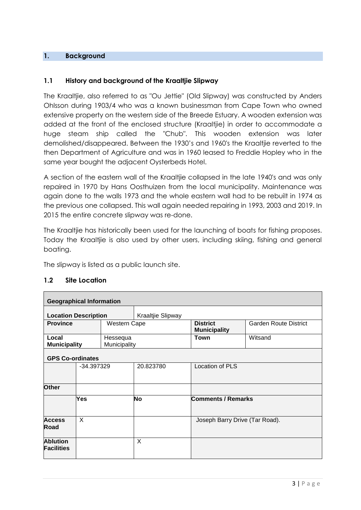## **1. Background**

## **1.1 History and background of the Kraaltjie Slipway**

The Kraaltjie, also referred to as "Ou Jettie" (Old Slipway) was constructed by Anders Ohlsson during 1903/4 who was a known businessman from Cape Town who owned extensive property on the western side of the Breede Estuary. A wooden extension was added at the front of the enclosed structure (Kraaltjie) in order to accommodate a huge steam ship called the "Chub". This wooden extension was later demolished/disappeared. Between the 1930's and 1960's the Kraaltjie reverted to the then Department of Agriculture and was in 1960 leased to Freddie Hopley who in the same year bought the adjacent Oysterbeds Hotel.

A section of the eastern wall of the Kraaltjie collapsed in the late 1940's and was only repaired in 1970 by Hans Oosthuizen from the local municipality. Maintenance was again done to the walls 1973 and the whole eastern wall had to be rebuilt in 1974 as the previous one collapsed. This wall again needed repairing in 1993, 2003 and 2019. In 2015 the entire concrete slipway was re-done.

The Kraaltjie has historically been used for the launching of boats for fishing proposes. Today the Kraaltjie is also used by other users, including skiing, fishing and general boating.

The slipway is listed as a public launch site.

| <b>Geographical Information</b>      |            |                          |                   |                                        |                              |
|--------------------------------------|------------|--------------------------|-------------------|----------------------------------------|------------------------------|
| <b>Location Description</b>          |            |                          | Kraaltjie Slipway |                                        |                              |
| <b>Province</b>                      |            | Western Cape             |                   | <b>District</b><br><b>Municipality</b> | <b>Garden Route District</b> |
| Local<br><b>Municipality</b>         |            | Hessequa<br>Municipality |                   | <b>Town</b>                            | Witsand                      |
| <b>GPS Co-ordinates</b>              |            |                          |                   |                                        |                              |
|                                      | -34.397329 |                          | 20.823780         | Location of PLS                        |                              |
| Other                                |            |                          |                   |                                        |                              |
|                                      | Yes        |                          | <b>No</b>         | <b>Comments / Remarks</b>              |                              |
| <b>Access</b><br>Road                | X          |                          |                   | Joseph Barry Drive (Tar Road).         |                              |
| <b>Ablution</b><br><b>Facilities</b> |            |                          | X                 |                                        |                              |
|                                      |            |                          |                   |                                        |                              |

#### **1.2 Site Location**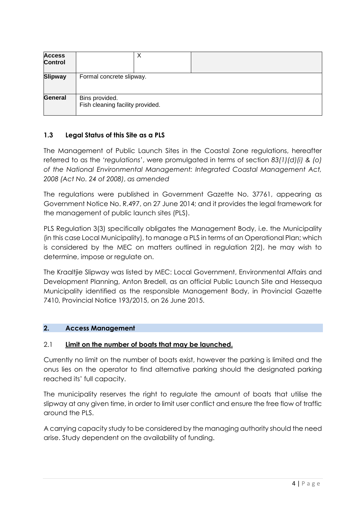| <b>Access</b><br><b>Control</b> | х                                                  |  |  |  |  |  |  |
|---------------------------------|----------------------------------------------------|--|--|--|--|--|--|
| <b>Slipway</b>                  | Formal concrete slipway.                           |  |  |  |  |  |  |
| General                         | Bins provided.<br>Fish cleaning facility provided. |  |  |  |  |  |  |

## **1.3 Legal Status of this Site as a PLS**

The Management of Public Launch Sites in the Coastal Zone regulations, hereafter referred to as the '*regulations*', were promulgated in terms of section *83(1)(d)(i) & (o) of the National Environmental Management: Integrated Coastal Management Act, 2008 (Act No. 24 of 2008)*, *as amended*

The regulations were published in Government Gazette No. 37761, appearing as Government Notice No. R.497, on 27 June 2014; and it provides the legal framework for the management of public launch sites (PLS).

PLS Regulation 3(3) specifically obligates the Management Body, i.e. the Municipality (in this case Local Municipality), to manage a PLS in terms of an Operational Plan; which is considered by the MEC on matters outlined in regulation 2(2), he may wish to determine, impose or regulate on.

The Kraaltjie Slipway was listed by MEC: Local Government, Environmental Affairs and Development Planning, Anton Bredell, as an official Public Launch Site and Hessequa Municipality identified as the responsible Management Body, in Provincial Gazette 7410, Provincial Notice 193/2015, on 26 June 2015.

## **2. Access Management**

## 2.1 **Limit on the number of boats that may be launched.**

Currently no limit on the number of boats exist, however the parking is limited and the onus lies on the operator to find alternative parking should the designated parking reached its' full capacity.

The municipality reserves the right to regulate the amount of boats that utilise the slipway at any given time, in order to limit user conflict and ensure the free flow of traffic around the PLS.

A carrying capacity study to be considered by the managing authority should the need arise. Study dependent on the availability of funding.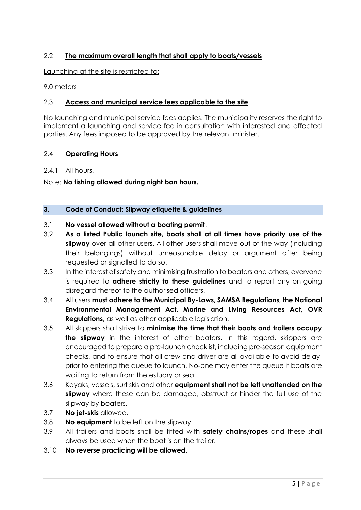## 2.2 **The maximum overall length that shall apply to boats/vessels**

Launching at the site is restricted to:

9.0 meters

## 2.3 **Access and municipal service fees applicable to the site**.

No launching and municipal service fees applies. The municipality reserves the right to implement a launching and service fee in consultation with interested and affected parties. Any fees imposed to be approved by the relevant minister.

## 2.4 **Operating Hours**

2.4.1 All hours.

Note: **No fishing allowed during night ban hours.**

#### **3. Code of Conduct: Slipway etiquette & guidelines**

## 3.1 **No vessel allowed without a boating permit**.

- 3.2 **As a listed Public launch site, boats shall at all times have priority use of the slipway** over all other users. All other users shall move out of the way (including their belongings) without unreasonable delay or argument after being requested or signalled to do so.
- 3.3 In the interest of safety and minimising frustration to boaters and others, everyone is required to **adhere strictly to these guidelines** and to report any on-going disregard thereof to the authorised officers.
- 3.4 All users **must adhere to the Municipal By-Laws, SAMSA Regulations, the National Environmental Management Act, Marine and Living Resources Act, OVR Regulations,** as well as other applicable legislation.
- 3.5 All skippers shall strive to **minimise the time that their boats and trailers occupy the slipway** in the interest of other boaters. In this regard, skippers are encouraged to prepare a pre-launch checklist, including pre-season equipment checks, and to ensure that all crew and driver are all available to avoid delay, prior to entering the queue to launch. No-one may enter the queue if boats are waiting to return from the estuary or sea.
- 3.6 Kayaks, vessels, surf skis and other **equipment shall not be left unattended on the slipway** where these can be damaged, obstruct or hinder the full use of the slipway by boaters.
- 3.7 **No jet-skis** allowed.
- 3.8 **No equipment** to be left on the slipway.
- 3.9 All trailers and boats shall be fitted with **safety chains/ropes** and these shall always be used when the boat is on the trailer.
- 3.10 **No reverse practicing will be allowed.**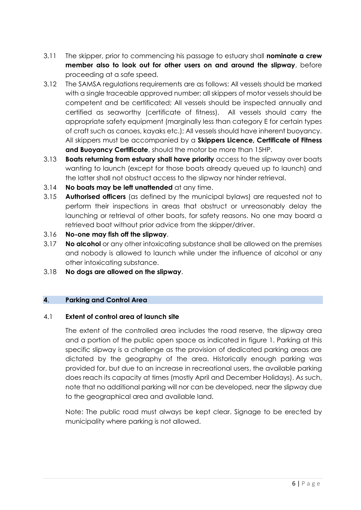- 3.11 The skipper, prior to commencing his passage to estuary shall **nominate a crew member also to look out for other users on and around the slipway**, before proceeding at a safe speed.
- 3.12 The SAMSA regulations requirements are as follows: All vessels should be marked with a single traceable approved number; all skippers of motor vessels should be competent and be certificated; All vessels should be inspected annually and certified as seaworthy (certificate of fitness). All vessels should carry the appropriate safety equipment (marginally less than category E for certain types of craft such as canoes, kayaks etc.); All vessels should have inherent buoyancy. All skippers must be accompanied by a **Skippers Licence, Certificate of Fitness and Buoyancy Certificate**, should the motor be more than 15HP.
- 3.13 **Boats returning from estuary shall have priority** access to the slipway over boats wanting to launch (except for those boats already queued up to launch) and the latter shall not obstruct access to the slipway nor hinder retrieval.
- 3.14 **No boats may be left unattended** at any time.
- 3.15 **Authorised officers** (as defined by the municipal bylaws) are requested not to perform their inspections in areas that obstruct or unreasonably delay the launching or retrieval of other boats, for safety reasons. No one may board a retrieved boat without prior advice from the skipper/driver.
- 3.16 **No-one may fish off the slipway**.
- 3.17 **No alcohol** or any other intoxicating substance shall be allowed on the premises and nobody is allowed to launch while under the influence of alcohol or any other intoxicating substance.
- 3.18 **No dogs are allowed on the slipway**.

## **4**. **Parking and Control Area**

## 4.1 **Extent of control area of launch site**

The extent of the controlled area includes the road reserve, the slipway area and a portion of the public open space as indicated in figure 1. Parking at this specific slipway is a challenge as the provision of dedicated parking areas are dictated by the geography of the area. Historically enough parking was provided for, but due to an increase in recreational users, the available parking does reach its capacity at times (mostly April and December Holidays). As such, note that no additional parking will nor can be developed, near the slipway due to the geographical area and available land.

Note: The public road must always be kept clear. Signage to be erected by municipality where parking is not allowed.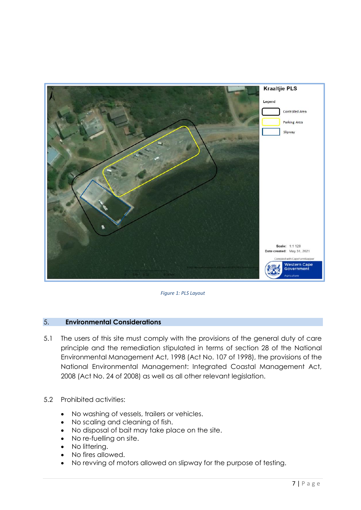

*Figure 1: PLS Layout*

## 5. **Environmental Considerations**

- 5.1 The users of this site must comply with the provisions of the general duty of care principle and the remediation stipulated in terms of section 28 of the National Environmental Management Act, 1998 (Act No. 107 of 1998), the provisions of the National Environmental Management: Integrated Coastal Management Act, 2008 (Act No. 24 of 2008) as well as all other relevant legislation.
- 5.2 Prohibited activities:
	- No washing of vessels, trailers or vehicles.
	- No scaling and cleaning of fish.
	- No disposal of bait may take place on the site.
	- No re-fuelling on site.
	- No littering.
	- No fires allowed.
	- No revving of motors allowed on slipway for the purpose of testing.